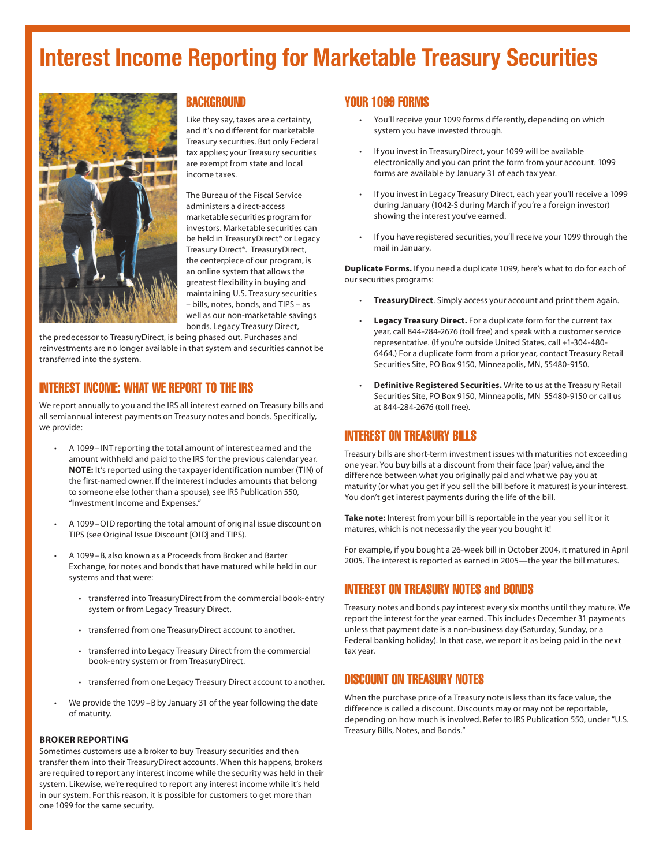# Interest Income Reporting for Marketable Treasury Securities



## **BACKGROUND**

Like they say, taxes are a certainty, and it's no different for marketable Treasury securities. But only Federal tax applies; your Treasury securities are exempt from state and local income taxes.

The Bureau of the Fiscal Service administers a direct-access marketable securities program for investors. Marketable securities can be held in TreasuryDirect® or Legacy Treasury Direct®. TreasuryDirect, the centerpiece of our program, is an online system that allows the greatest flexibility in buying and maintaining U.S. Treasury securities – bills, notes, bonds, and TIPS – as well as our non-marketable savings bonds. Legacy Treasury Direct,

the predecessor to TreasuryDirect, is being phased out. Purchases and reinvestments are no longer available in that system and securities cannot be transferred into the system.

## INTEREST INCOME: WHAT WE REPORT TO THE IRS

We report annually to you and the IRS all interest earned on Treasury bills and all semiannual interest payments on Treasury notes and bonds. Specifically, we provide:

- A 1099 INT reporting the total amount of interest earned and the amount withheld and paid to the IRS for the previous calendar year. **NOTE:** It's reported using the taxpayer identification number (TIN) of the first-named owner. If the interest includes amounts that belong to someone else (other than a spouse), see IRS Publication 550, "Investment Income and Expenses."
- A 1099-OID reporting the total amount of original issue discount on TIPS (see Original Issue Discount [OID] and TIPS).
- A 1099 B, also known as a Proceeds from Broker and Barter Exchange, for notes and bonds that have matured while held in our systems and that were:
	- transferred into TreasuryDirect from the commercial book-entry system or from Legacy Treasury Direct.
	- transferred from one TreasuryDirect account to another.
	- transferred into Legacy Treasury Direct from the commercial book-entry system or from TreasuryDirect.
	- transferred from one Legacy Treasury Direct account to another.
- We provide the 1099 B by January 31 of the year following the date of maturity.

#### **BROKER REPORTING**

Sometimes customers use a broker to buy Treasury securities and then transfer them into their TreasuryDirect accounts. When this happens, brokers are required to report any interest income while the security was held in their system. Likewise, we're required to report any interest income while it's held in our system. For this reason, it is possible for customers to get more than one 1099 for the same security.

## YOUR 1099 FORMS

- You'll receive your 1099 forms differently, depending on which system you have invested through.
- If you invest in TreasuryDirect, your 1099 will be available electronically and you can print the form from your account. 1099 forms are available by January 31 of each tax year.
- If you invest in Legacy Treasury Direct, each year you'll receive a 1099 during January (1042-S during March if you're a foreign investor) showing the interest you've earned.
- If you have registered securities, you'll receive your 1099 through the mail in January.

**Duplicate Forms.** If you need a duplicate 1099, here's what to do for each of our securities programs:

- **TreasuryDirect**. Simply access your account and print them again.
- **Legacy Treasury Direct.** For a duplicate form for the current tax year, call 844-284-2676 (toll free) and speak with a customer service representative. (If you're outside United States, call +1-304-480- 6464.) For a duplicate form from a prior year, contact Treasury Retail Securities Site, PO Box 9150, Minneapolis, MN, 55480-9150.
- **Definitive Registered Securities.** Write to us at the Treasury Retail Securities Site, PO Box 9150, Minneapolis, MN 55480-9150 or call us at 844-284-2676 (toll free).

## INTEREST ON TREASURY BILLS

Treasury bills are short-term investment issues with maturities not exceeding one year. You buy bills at a discount from their face (par) value, and the difference between what you originally paid and what we pay you at maturity (or what you get if you sell the bill before it matures) is your interest. You don't get interest payments during the life of the bill.

**Take note:** Interest from your bill is reportable in the year you sell it or it matures, which is not necessarily the year you bought it!

For example, if you bought a 26-week bill in October 2004, it matured in April 2005. The interest is reported as earned in 2005—the year the bill matures.

## INTEREST ON TREASURY NOTES and BONDS

Treasury notes and bonds pay interest every six months until they mature. We report the interest for the year earned. This includes December 31 payments unless that payment date is a non-business day (Saturday, Sunday, or a Federal banking holiday). In that case, we report it as being paid in the next tax year.

## DISCOUNT ON TREASURY NOTES

When the purchase price of a Treasury note is less than its face value, the difference is called a discount. Discounts may or may not be reportable, depending on how much is involved. Refer to IRS Publication 550, under "U.S. Treasury Bills, Notes, and Bonds."